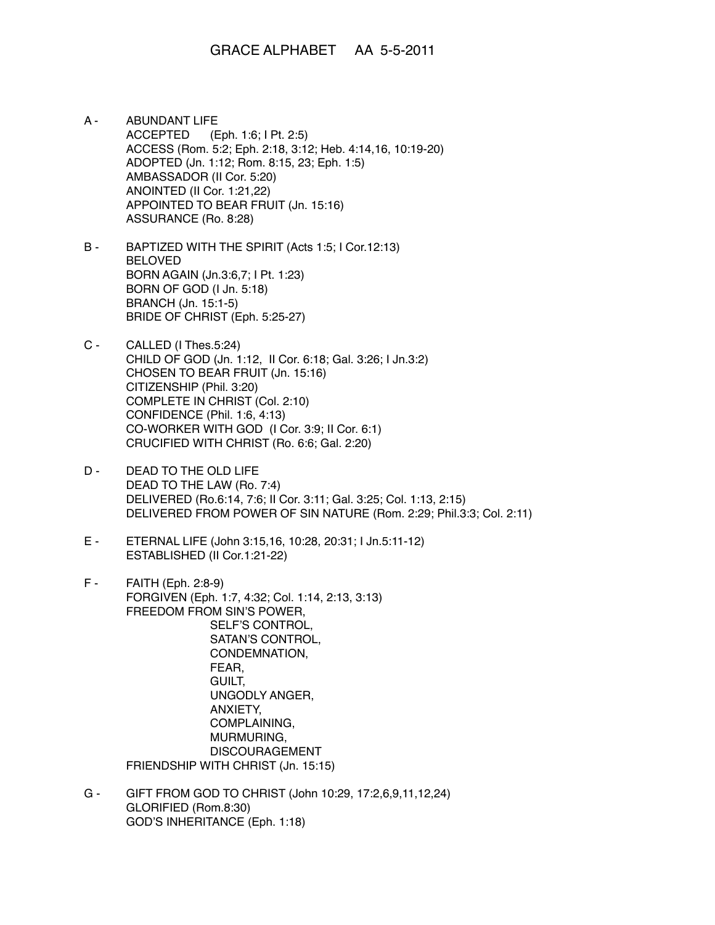- A ABUNDANT LIFE ACCEPTED (Eph. 1:6; I Pt. 2:5) ACCESS (Rom. 5:2; Eph. 2:18, 3:12; Heb. 4:14,16, 10:19-20) ADOPTED (Jn. 1:12; Rom. 8:15, 23; Eph. 1:5) AMBASSADOR (II Cor. 5:20) ANOINTED (II Cor. 1:21,22) APPOINTED TO BEAR FRUIT (Jn. 15:16) ASSURANCE (Ro. 8:28)
- B BAPTIZED WITH THE SPIRIT (Acts 1:5; I Cor.12:13) BELOVED BORN AGAIN (Jn.3:6,7; I Pt. 1:23) BORN OF GOD (I Jn. 5:18) BRANCH (Jn. 15:1-5) BRIDE OF CHRIST (Eph. 5:25-27)
- C CALLED (I Thes.5:24) CHILD OF GOD (Jn. 1:12, II Cor. 6:18; Gal. 3:26; I Jn.3:2) CHOSEN TO BEAR FRUIT (Jn. 15:16) CITIZENSHIP (Phil. 3:20) COMPLETE IN CHRIST (Col. 2:10) CONFIDENCE (Phil. 1:6, 4:13) CO-WORKER WITH GOD (I Cor. 3:9; II Cor. 6:1) CRUCIFIED WITH CHRIST (Ro. 6:6; Gal. 2:20)
- D DEAD TO THE OLD LIFE DEAD TO THE LAW (Ro. 7:4) DELIVERED (Ro.6:14, 7:6; II Cor. 3:11; Gal. 3:25; Col. 1:13, 2:15) DELIVERED FROM POWER OF SIN NATURE (Rom. 2:29; Phil.3:3; Col. 2:11)
- E ETERNAL LIFE (John 3:15,16, 10:28, 20:31; I Jn.5:11-12) ESTABLISHED (II Cor.1:21-22)
- F FAITH (Eph. 2:8-9) FORGIVEN (Eph. 1:7, 4:32; Col. 1:14, 2:13, 3:13) FREEDOM FROM SIN'S POWER, SELF'S CONTROL, SATAN'S CONTROL, CONDEMNATION, FEAR, GUILT, UNGODLY ANGER, ANXIETY, COMPLAINING, MURMURING, DISCOURAGEMENT FRIENDSHIP WITH CHRIST (Jn. 15:15)
- G GIFT FROM GOD TO CHRIST (John 10:29, 17:2,6,9,11,12,24) GLORIFIED (Rom.8:30) GOD'S INHERITANCE (Eph. 1:18)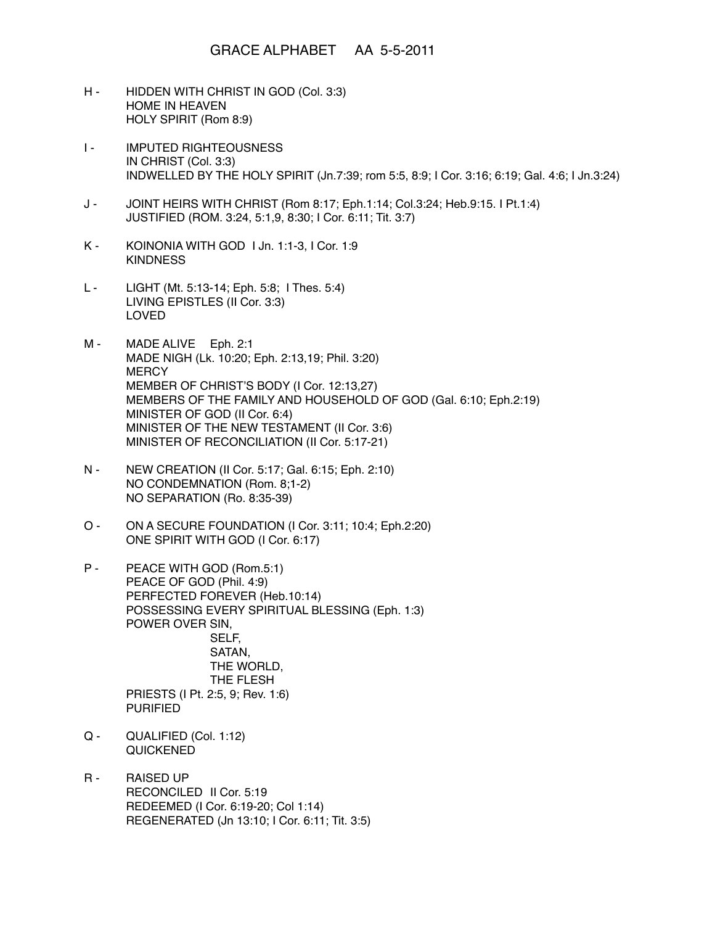## GRACE ALPHABET AA 5-5-2011

- H HIDDEN WITH CHRIST IN GOD (Col. 3:3) HOME IN HEAVEN HOLY SPIRIT (Rom 8:9)
- **I-** IMPUTED RIGHTEOUSNESS IN CHRIST (Col. 3:3) INDWELLED BY THE HOLY SPIRIT (Jn.7:39; rom 5:5, 8:9; I Cor. 3:16; 6:19; Gal. 4:6; I Jn.3:24)
- J JOINT HEIRS WITH CHRIST (Rom 8:17; Eph.1:14; Col.3:24; Heb.9:15. I Pt.1:4) JUSTIFIED (ROM. 3:24, 5:1,9, 8:30; I Cor. 6:11; Tit. 3:7)
- K KOINONIA WITH GOD I Jn. 1:1-3, I Cor. 1:9 **KINDNESS**
- L LIGHT (Mt. 5:13-14; Eph. 5:8; I Thes. 5:4) LIVING EPISTLES (II Cor. 3:3) LOVED
- M MADE ALIVE Eph. 2:1 MADE NIGH (Lk. 10:20; Eph. 2:13,19; Phil. 3:20) **MERCY** MEMBER OF CHRIST'S BODY (I Cor. 12:13,27) MEMBERS OF THE FAMILY AND HOUSEHOLD OF GOD (Gal. 6:10; Eph.2:19) MINISTER OF GOD (II Cor. 6:4) MINISTER OF THE NEW TESTAMENT (II Cor. 3:6) MINISTER OF RECONCILIATION (II Cor. 5:17-21)
- N NEW CREATION (II Cor. 5:17; Gal. 6:15; Eph. 2:10) NO CONDEMNATION (Rom. 8;1-2) NO SEPARATION (Ro. 8:35-39)
- O ON A SECURE FOUNDATION (I Cor. 3:11; 10:4; Eph.2:20) ONE SPIRIT WITH GOD (I Cor. 6:17)
- P PEACE WITH GOD (Rom.5:1) PEACE OF GOD (Phil. 4:9) PERFECTED FOREVER (Heb.10:14) POSSESSING EVERY SPIRITUAL BLESSING (Eph. 1:3) POWER OVER SIN, SELF, SATAN, THE WORLD, THE FLESH PRIESTS (I Pt. 2:5, 9; Rev. 1:6) PURIFIED
- Q QUALIFIED (Col. 1:12) QUICKENED
- R RAISED UP RECONCILED II Cor. 5:19 REDEEMED (I Cor. 6:19-20; Col 1:14) REGENERATED (Jn 13:10; I Cor. 6:11; Tit. 3:5)